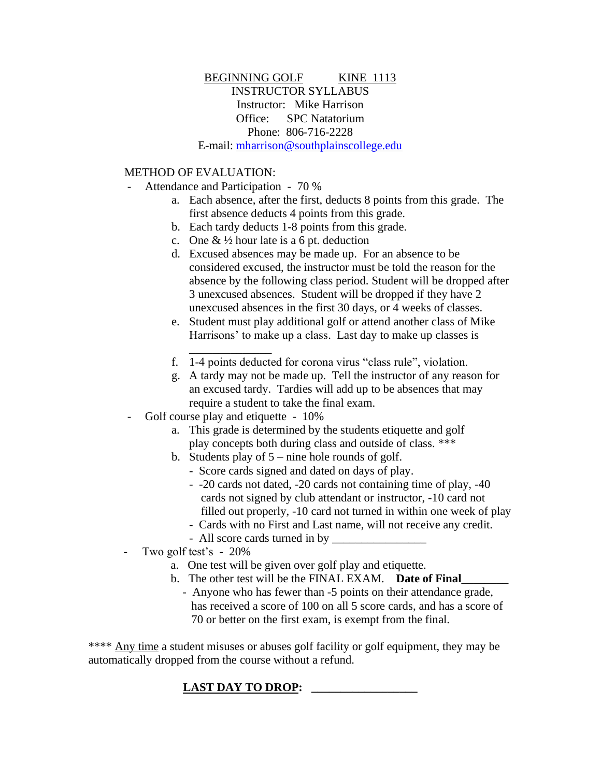BEGINNING GOLF KINE 1113 INSTRUCTOR SYLLABUS Instructor: Mike Harrison Office: SPC Natatorium Phone: 806-716-2228 E-mail: [mharrison@southplainscollege.edu](mailto:mharrison@southplainscollege.edu)

#### METHOD OF EVALUATION:

- Attendance and Participation 70 %
	- a. Each absence, after the first, deducts 8 points from this grade. The first absence deducts 4 points from this grade.
	- b. Each tardy deducts 1-8 points from this grade.
	- c. One  $&\frac{1}{2}$  hour late is a 6 pt. deduction
	- d. Excused absences may be made up. For an absence to be considered excused, the instructor must be told the reason for the absence by the following class period. Student will be dropped after 3 unexcused absences. Student will be dropped if they have 2 unexcused absences in the first 30 days, or 4 weeks of classes.
	- e. Student must play additional golf or attend another class of Mike Harrisons' to make up a class. Last day to make up classes is
	- f. 1-4 points deducted for corona virus "class rule", violation.
	- g. A tardy may not be made up. Tell the instructor of any reason for an excused tardy. Tardies will add up to be absences that may require a student to take the final exam.
- Golf course play and etiquette 10%

\_\_\_\_\_\_\_\_\_\_\_\_\_\_

- a. This grade is determined by the students etiquette and golf play concepts both during class and outside of class. \*\*\*
- b. Students play of  $5$  nine hole rounds of golf.
	- Score cards signed and dated on days of play.
	- -20 cards not dated, -20 cards not containing time of play, -40 cards not signed by club attendant or instructor, -10 card not filled out properly, -10 card not turned in within one week of play
	- Cards with no First and Last name, will not receive any credit.
	- All score cards turned in by
- Two golf test's 20%
	- a. One test will be given over golf play and etiquette.
	- b. The other test will be the FINAL EXAM. Date of Final
		- Anyone who has fewer than -5 points on their attendance grade, has received a score of 100 on all 5 score cards, and has a score of 70 or better on the first exam, is exempt from the final.

\*\*\*\* Any time a student misuses or abuses golf facility or golf equipment, they may be automatically dropped from the course without a refund.

## LAST DAY TO DROP: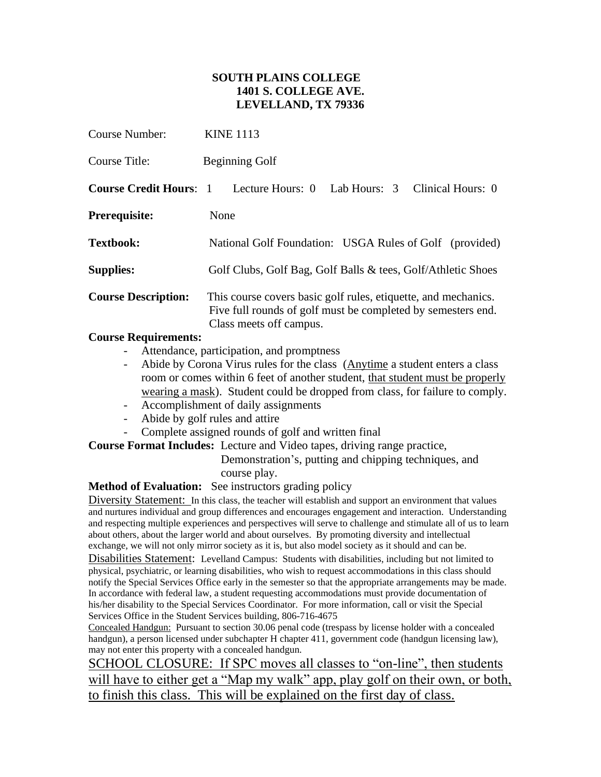## **SOUTH PLAINS COLLEGE 1401 S. COLLEGE AVE. LEVELLAND, TX 79336**

| <b>Course Number:</b>         | <b>KINE 1113</b>                                                                                                                                          |  |  |
|-------------------------------|-----------------------------------------------------------------------------------------------------------------------------------------------------------|--|--|
| Course Title:                 | Beginning Golf                                                                                                                                            |  |  |
| <b>Course Credit Hours: 1</b> | Lecture Hours: 0 Lab Hours: 3 Clinical Hours: 0                                                                                                           |  |  |
| Prerequisite:                 | None                                                                                                                                                      |  |  |
| <b>Textbook:</b>              | National Golf Foundation: USGA Rules of Golf (provided)                                                                                                   |  |  |
| <b>Supplies:</b>              | Golf Clubs, Golf Bag, Golf Balls & tees, Golf/Athletic Shoes                                                                                              |  |  |
| <b>Course Description:</b>    | This course covers basic golf rules, etiquette, and mechanics.<br>Five full rounds of golf must be completed by semesters end.<br>Class meets off campus. |  |  |

#### **Course Requirements:**

- Attendance, participation, and promptness
- Abide by Corona Virus rules for the class (Anytime a student enters a class room or comes within 6 feet of another student, that student must be properly wearing a mask). Student could be dropped from class, for failure to comply.
- Accomplishment of daily assignments
- Abide by golf rules and attire
- Complete assigned rounds of golf and written final

**Course Format Includes:** Lecture and Video tapes, driving range practice,

 Demonstration's, putting and chipping techniques, and course play.

**Method of Evaluation:** See instructors grading policy

Diversity Statement: In this class, the teacher will establish and support an environment that values and nurtures individual and group differences and encourages engagement and interaction. Understanding and respecting multiple experiences and perspectives will serve to challenge and stimulate all of us to learn about others, about the larger world and about ourselves. By promoting diversity and intellectual exchange, we will not only mirror society as it is, but also model society as it should and can be.

Disabilities Statement: Levelland Campus: Students with disabilities, including but not limited to physical, psychiatric, or learning disabilities, who wish to request accommodations in this class should notify the Special Services Office early in the semester so that the appropriate arrangements may be made. In accordance with federal law, a student requesting accommodations must provide documentation of his/her disability to the Special Services Coordinator. For more information, call or visit the Special Services Office in the Student Services building, 806-716-4675

Concealed Handgun: Pursuant to section 30.06 penal code (trespass by license holder with a concealed handgun), a person licensed under subchapter H chapter 411, government code (handgun licensing law), may not enter this property with a concealed handgun.

SCHOOL CLOSURE: If SPC moves all classes to "on-line", then students will have to either get a "Map my walk" app, play golf on their own, or both, to finish this class. This will be explained on the first day of class.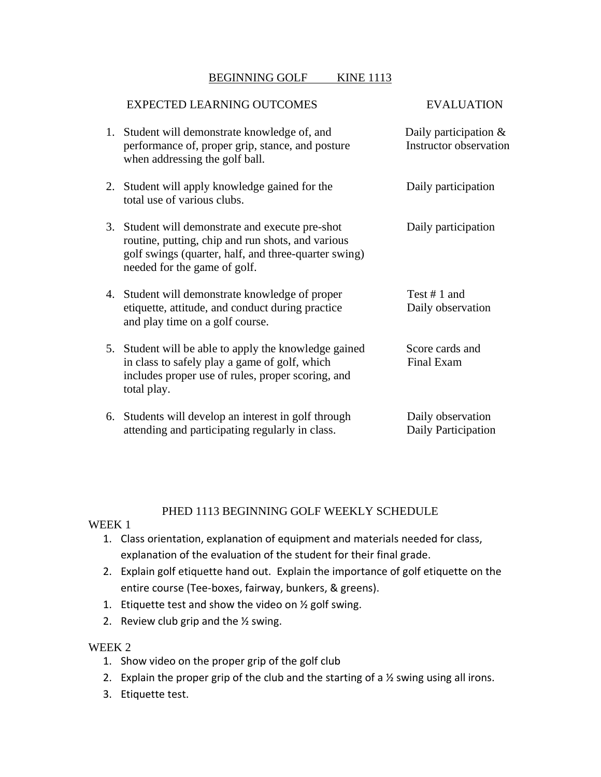#### BEGINNING GOLF KINE 1113

#### EXPECTED LEARNING OUTCOMES EVALUATION

| 1. Student will demonstrate knowledge of, and<br>performance of, proper grip, stance, and posture<br>when addressing the golf ball.                                                           | Daily participation $\&$<br><b>Instructor</b> observation |
|-----------------------------------------------------------------------------------------------------------------------------------------------------------------------------------------------|-----------------------------------------------------------|
| 2. Student will apply knowledge gained for the<br>total use of various clubs.                                                                                                                 | Daily participation                                       |
| 3. Student will demonstrate and execute pre-shot<br>routine, putting, chip and run shots, and various<br>golf swings (quarter, half, and three-quarter swing)<br>needed for the game of golf. | Daily participation                                       |
| 4. Student will demonstrate knowledge of proper<br>etiquette, attitude, and conduct during practice<br>and play time on a golf course.                                                        | Test $# 1$ and<br>Daily observation                       |
| 5. Student will be able to apply the knowledge gained<br>in class to safely play a game of golf, which<br>includes proper use of rules, proper scoring, and<br>total play.                    | Score cards and<br>Final Exam                             |
| 6. Students will develop an interest in golf through<br>attending and participating regularly in class.                                                                                       | Daily observation<br>Daily Participation                  |

#### PHED 1113 BEGINNING GOLF WEEKLY SCHEDULE

#### WEEK 1

- 1. Class orientation, explanation of equipment and materials needed for class, explanation of the evaluation of the student for their final grade.
- 2. Explain golf etiquette hand out. Explain the importance of golf etiquette on the entire course (Tee-boxes, fairway, bunkers, & greens).
- 1. Etiquette test and show the video on  $\frac{1}{2}$  golf swing.
- 2. Review club grip and the  $\frac{1}{2}$  swing.

#### WEEK 2

- 1. Show video on the proper grip of the golf club
- 2. Explain the proper grip of the club and the starting of a  $\frac{1}{2}$  swing using all irons.
- 3. Etiquette test.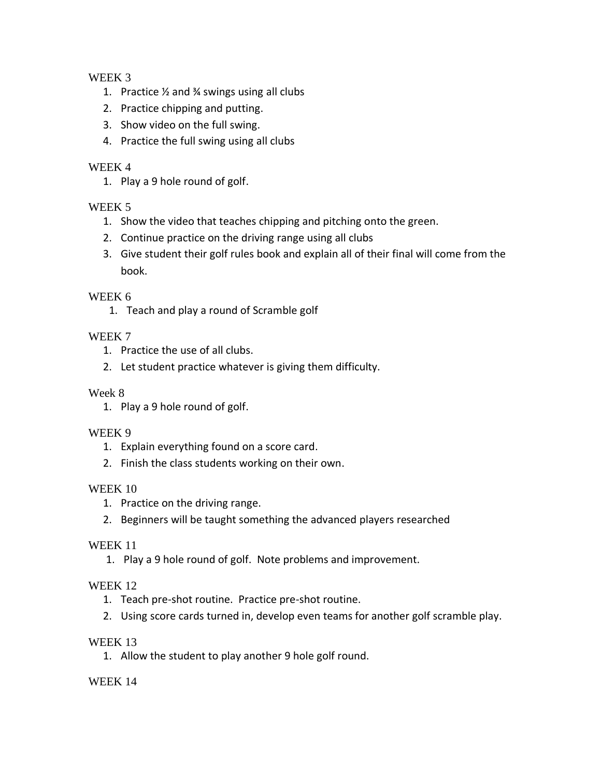## WEEK 3

- 1. Practice  $\frac{1}{2}$  and  $\frac{3}{4}$  swings using all clubs
- 2. Practice chipping and putting.
- 3. Show video on the full swing.
- 4. Practice the full swing using all clubs

## WEEK 4

1. Play a 9 hole round of golf.

# WEEK 5

- 1. Show the video that teaches chipping and pitching onto the green.
- 2. Continue practice on the driving range using all clubs
- 3. Give student their golf rules book and explain all of their final will come from the book.

# WEEK 6

1. Teach and play a round of Scramble golf

# WEEK 7

- 1. Practice the use of all clubs.
- 2. Let student practice whatever is giving them difficulty.

## Week 8

1. Play a 9 hole round of golf.

# WEEK 9

- 1. Explain everything found on a score card.
- 2. Finish the class students working on their own.

# WEEK 10

- 1. Practice on the driving range.
- 2. Beginners will be taught something the advanced players researched

# WEEK 11

1. Play a 9 hole round of golf. Note problems and improvement.

# WEEK 12

- 1. Teach pre-shot routine. Practice pre-shot routine.
- 2. Using score cards turned in, develop even teams for another golf scramble play.

## WEEK 13

1. Allow the student to play another 9 hole golf round.

## WEEK 14